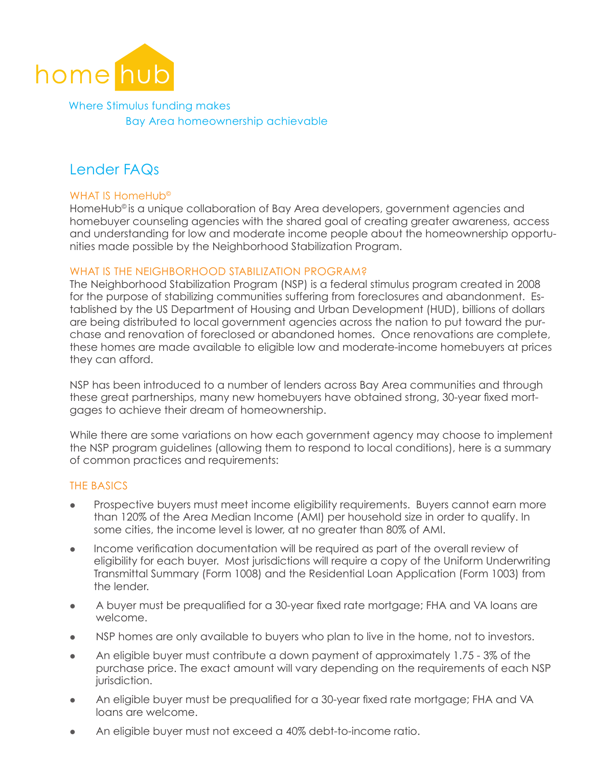

Where Stimulus funding makes Bay Area homeownership achievable

# Lender FAQs

## WHAT IS HomeHub<sup>®</sup>

HomeHub<sup>®</sup> is a unique collaboration of Bay Area developers, government agencies and homebuyer counseling agencies with the shared goal of creating greater awareness, access and understanding for low and moderate income people about the homeownership opportunities made possible by the Neighborhood Stabilization Program.

## WHAT IS THE NEIGHBORHOOD STABILIZATION PROGRAM?

The Neighborhood Stabilization Program (NSP) is a federal stimulus program created in 2008 for the purpose of stabilizing communities suffering from foreclosures and abandonment. Established by the US Department of Housing and Urban Development (HUD), billions of dollars are being distributed to local government agencies across the nation to put toward the purchase and renovation of foreclosed or abandoned homes. Once renovations are complete, these homes are made available to eligible low and moderate-income homebuyers at prices they can afford.

NSP has been introduced to a number of lenders across Bay Area communities and through these great partnerships, many new homebuyers have obtained strong, 30-year fixed mortgages to achieve their dream of homeownership.

While there are some variations on how each government agency may choose to implement the NSP program guidelines (allowing them to respond to local conditions), here is a summary of common practices and requirements:

# The Basics

- Prospective buyers must meet income eligibility requirements. Buyers cannot earn more than 120% of the Area Median Income (AMI) per household size in order to qualify. In some cities, the income level is lower, at no greater than 80% of AMI.
- **Income verification documentation will be required as part of the overall review of** eligibility for each buyer. Most jurisdictions will require a copy of the Uniform Underwriting Transmittal Summary (Form 1008) and the Residential Loan Application (Form 1003) from the lender.
- A buyer must be prequalified for a 30-year fixed rate mortgage; FHA and VA loans are welcome.
- NSP homes are only available to buyers who plan to live in the home, not to investors.
- An eligible buyer must contribute a down payment of approximately  $1.75 3\%$  of the purchase price. The exact amount will vary depending on the requirements of each NSP jurisdiction.
- An eligible buyer must be prequalified for a 30-year fixed rate mortgage; FHA and VA loans are welcome.
- An eligible buyer must not exceed a 40% debt-to-income ratio.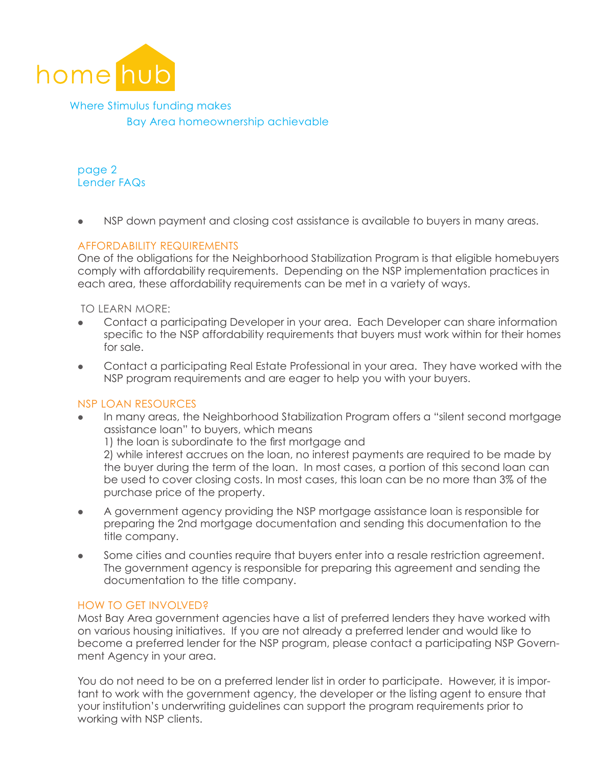

Where Stimulus funding makes Bay Area homeownership achievable

page 2 Lender FAQs

• NSP down payment and closing cost assistance is available to buyers in many areas.

# Affordability Requirements

One of the obligations for the Neighborhood Stabilization Program is that eligible homebuyers comply with affordability requirements. Depending on the NSP implementation practices in each area, these affordability requirements can be met in a variety of ways.

To learn more:

- l Contact a participating Developer in your area. Each Developer can share information specific to the NSP affordability requirements that buyers must work within for their homes for sale.
- Contact a participating Real Estate Professional in your area. They have worked with the NSP program requirements and are eager to help you with your buyers.

#### NSP Loan Resources

In many areas, the Neighborhood Stabilization Program offers a "silent second mortgage" assistance loan" to buyers, which means

1) the loan is subordinate to the first mortgage and

2) while interest accrues on the loan, no interest payments are required to be made by the buyer during the term of the loan. In most cases, a portion of this second loan can be used to cover closing costs. In most cases, this loan can be no more than 3% of the purchase price of the property.

- A government agency providing the NSP mortgage assistance loan is responsible for preparing the 2nd mortgage documentation and sending this documentation to the title company.
- Some cities and counties require that buyers enter into a resale restriction agreement. The government agency is responsible for preparing this agreement and sending the documentation to the title company.

## How to get involved?

Most Bay Area government agencies have a list of preferred lenders they have worked with on various housing initiatives. If you are not already a preferred lender and would like to become a preferred lender for the NSP program, please contact a participating NSP Government Agency in your area.

You do not need to be on a preferred lender list in order to participate. However, it is important to work with the government agency, the developer or the listing agent to ensure that your institution's underwriting guidelines can support the program requirements prior to working with NSP clients.